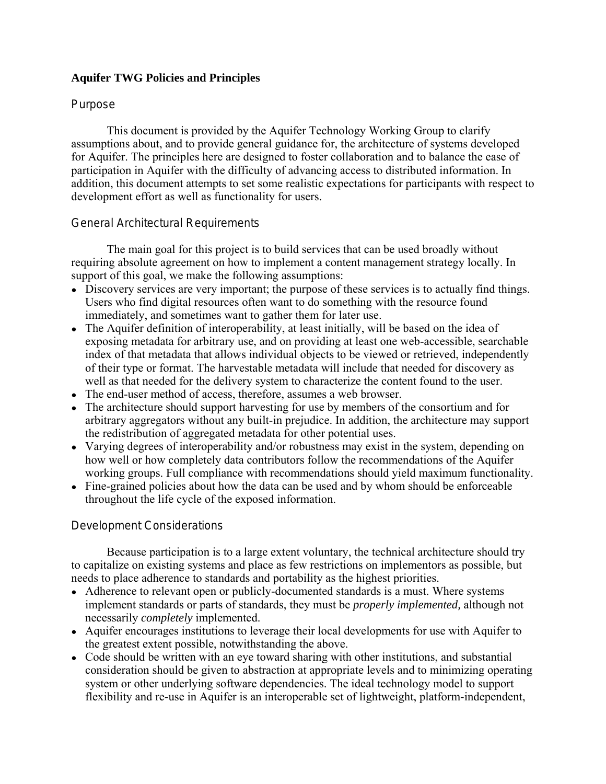### **Aquifer TWG Policies and Principles**

### Purpose

This document is provided by the Aquifer Technology Working Group to clarify assumptions about, and to provide general guidance for, the architecture of systems developed for Aquifer. The principles here are designed to foster collaboration and to balance the ease of participation in Aquifer with the difficulty of advancing access to distributed information. In addition, this document attempts to set some realistic expectations for participants with respect to development effort as well as functionality for users.

#### General Architectural Requirements

The main goal for this project is to build services that can be used broadly without requiring absolute agreement on how to implement a content management strategy locally. In support of this goal, we make the following assumptions:

- Discovery services are very important; the purpose of these services is to actually find things. Users who find digital resources often want to do something with the resource found immediately, and sometimes want to gather them for later use.
- The Aquifer definition of interoperability, at least initially, will be based on the idea of exposing metadata for arbitrary use, and on providing at least one web-accessible, searchable index of that metadata that allows individual objects to be viewed or retrieved, independently of their type or format. The harvestable metadata will include that needed for discovery as well as that needed for the delivery system to characterize the content found to the user.
- The end-user method of access, therefore, assumes a web browser.
- The architecture should support harvesting for use by members of the consortium and for arbitrary aggregators without any built-in prejudice. In addition, the architecture may support the redistribution of aggregated metadata for other potential uses.
- Varying degrees of interoperability and/or robustness may exist in the system, depending on how well or how completely data contributors follow the recommendations of the Aquifer working groups. Full compliance with recommendations should yield maximum functionality.
- Fine-grained policies about how the data can be used and by whom should be enforceable throughout the life cycle of the exposed information.

## Development Considerations

Because participation is to a large extent voluntary, the technical architecture should try to capitalize on existing systems and place as few restrictions on implementors as possible, but needs to place adherence to standards and portability as the highest priorities.

- Adherence to relevant open or publicly-documented standards is a must. Where systems implement standards or parts of standards, they must be *properly implemented,* although not necessarily *completely* implemented.
- Aquifer encourages institutions to leverage their local developments for use with Aquifer to the greatest extent possible, notwithstanding the above.
- Code should be written with an eye toward sharing with other institutions, and substantial consideration should be given to abstraction at appropriate levels and to minimizing operating system or other underlying software dependencies. The ideal technology model to support flexibility and re-use in Aquifer is an interoperable set of lightweight, platform-independent,